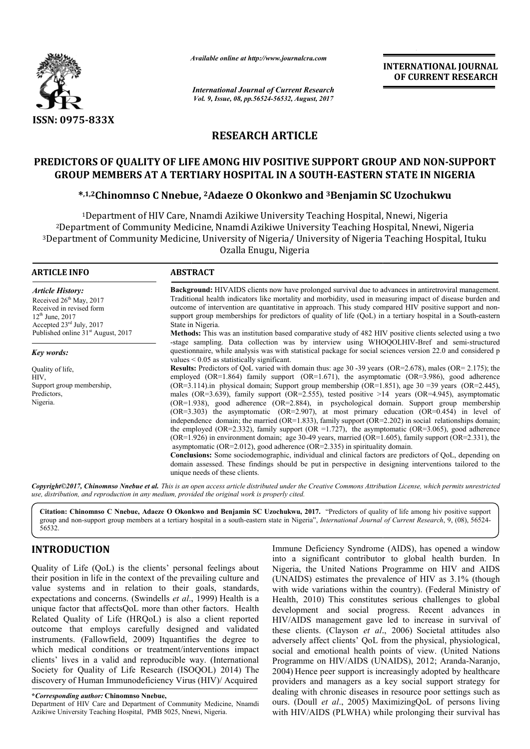

*Available online at http://www.journal http://www.journalcra.com*

*International Journal of Current Research Vol. 9, Issue, 08, pp.56524-56532, August, 2017* **INTERNATIONAL JOURNAL OF CURRENT RESEARCH** 

## **RESEARCH ARTICLE**

## **PREDICTORS OF QUALITY OF LIFE AMONG HIV POSITIVE SUPPORT GROUP AND NON OF LIFE AMONG POSITIVE SUPPORT NON-SUPPORT GROUP MEMBERS AT A TERTIARY HOSPITAL IN A SOUTH SOUTH-EASTERN STATE IN NIGERIA**

# UP MEMBERS AT A TERTIARY HOSPITAL IN A SOUTH-EASTERN STATE IN NIGI<br>\*,1,2Chinomnso C Nnebue, <sup>2</sup>Adaeze O Okonkwo and <sup>3</sup>Benjamin SC Uzochukwu

1Department of HIV Care, Nnamdi Azikiwe University Teaching Hospital, Nnewi, Nigeria <sup>1</sup>Department of HIV Care, Nnamdi Azikiwe University Teaching Hospital, Nnewi, Nigeria<br>2Department of Community Medicine, Nnamdi Azikiwe University Teaching Hospital, Nnewi, Nigeria  $^3$ Department of Community Medicine, University of Nigeria/ University of Nigeria Teaching Hospital, Ituku Ozalla Enugu, Nigeria

#### **ARTICLE INFO ABSTRACT**

*Article History:* Received 26<sup>th</sup> May, 2017 Received in revised form 12<sup>th</sup> June, 2017 Accepted 23rd July, 2017 Published online 31<sup>st</sup> August, 2017

*Key words:*

Quality of life, HIV, Support group membership, Predictors, Nigeria.

**Background:** HIVAIDS clients now have prolonged survival due to advances in antiretroviral management. Background: HIVAIDS clients now have prolonged survival due to advances in antiretroviral management.<br>Traditional health indicators like mortality and morbidity, used in measuring impact of disease burden and outcome of intervention are quantitative in approach. This study compared HIV positive support and nonsupport group memberships for predictors of quality of life (QoL) in a tertiary hospital in a South-eastern State in Nigeria.

**Methods:** This was an institution based comparative study of 482 HIV positive clients selected using a two **Methods:** This was an institution based comparative study of 482 HIV positive clients selected using a two stage sampling. Data collection was by interview using WHOQOLHIV-Bref and semi-structured questionnaire, while analysis was with statistical package for social sciences version 22.0 and considered p values < 0.05 as statistically significant. questionnaire, while analysis was with statistical package for social sciences version 22.0 and considered p values < 0.05 as statistically significant.<br>**Results:** Predictors of QoL varied with domain thus: age 30 -39 year

employed (OR=1.864) family support (OR=1.671), the asymptomatic (OR=3.986), good adherence employed (OR=1.864) family support (OR=1.671), the asymptomatic (OR=3.986), good adherence (OR=3.114).in physical domain; Support group membership (OR=1.851), age 30 =39 years (OR=2.445), males (OR=3.639), family support (OR=2.555), tested positive  $>14$  years (OR=4.945), asymptomatic (OR=1.938), good adherence (OR=2.884), in psychological domain. Support group membership  $(OR=3.303)$  the asymptomatic  $(OR=2.907)$ , at most primary education  $(OR=0.454)$  in level of (OR=3.303) the asymptomatic (OR=2.907), at most primary education (OR=0.454) in level of independence domain; the married (OR=1.833), family support (OR=2.202) in social relationships domain; the employed (OR=2.332), family support (OR =1.727), the asymptomatic (OR=3.065), good adherence (OR=1.926) in environment domain; age 30-49 years, married (OR=1.605), family support (OR=2.331), the asymptomatic (OR=2.012), good adherence ( (OR=2.335) in spirituality domain. **Conclusions:** Some sociodemographic, individual and clinical factors are predictors of QoL, depending on 2.332), family support (OR =1.727), the asymptomatic (OR=3.065), good adherence onment domain; age 30-49 years, married (OR=1.605), family support (OR=2.331), the 2.012), good adherence (OR=2.335) in spirituality domain.<br>

domain assessed. These findings should be put in perspective in designing interventions tailored to the unique needs of these clients.

*Copyright©2017, Chinomnso Nnebue et al. This is an open access article distributed under the Creative Commons Att Attribution License, which ribution License, permits unrestricted use, distribution, and reproduction in any medium, provided the original work is properly cited.*

Citation: Chinomnso C Nnebue, Adaeze O Okonkwo and Benjamin SC Uzochukwu, 2017. "Predictors of quality of life among hiv positive support group and non-support group members at a tertiary hospital in a south-eastern state in Nigeria", *International Journal of Current Research*, 9, (08), 56524-56532.

## **INTRODUCTION**

Quality of Life (QoL) is the clients' personal feelings about their position in life in the context of the prevailing culture and value systems and in relation to their goals, standards, expectations and concerns. (Swindells *et al*., 1999) Health is a unique factor that affectsQoL more than other factors. Health Related Quality of Life (HRQoL) is also a client reported outcome that employs carefully designed and validated instruments. (Fallowfield, 2009) Itquantifies the degree to which medical conditions or treatment/interventions impact clients' lives in a valid and reproducible way. (International Society for Quality of Life Research (ISOQOL) 2014) The discovery of Human Immunodeficiency Virus (HIV)/ Acquired

**\****Corresponding author:* **Chinomnso Nnebue,**

Immune Deficiency Syndrome (AIDS), has opened a window into a significant contributor to global health burden. In Immune Deficiency Syndrome (AIDS), has opened a window<br>into a significant contributor to global health burden. In<br>Nigeria, the United Nations Programme on HIV and AIDS (UNAIDS) estimates the prevalence of HIV as 3.1% (though (UNAIDS) estimates the prevalence of HIV as 3.1% (though with wide variations within the country). (Federal Ministry of Health, 2010) This constitutes serious challenges to global development and social progress. Recent advances in HIV/AIDS management gave led to increase in survival of development and social progress. Recent advances in HIV/AIDS management gave led to increase in survival of these clients. (Clayson *et al.*, 2006) Societal attitudes also adversely affect clients' QoL from the physical, physiological, social and emotional health points of view. (United Nations social and emotional health points of view. (United Nations Programme on HIV/AIDS (UNAIDS), 2012; Aranda-Naranjo, 2004) Hence peer support is increasingly adopted by healthcare providers and managers as a key social support strategy for dealing with chronic diseases in resource poor settings such as ours. (Doull *et al*., 2005) MaximizingQoL of persons living with HIV/AIDS (PLWHA) while prolonging their survival has peer support is increasingly adopted by healthcare<br>d managers as a key social support strategy for<br>chronic diseases in resource poor settings such as **INTERNATIONAL JOURNAL**<br> **OF CURRENT RESEARCH**<br> **COF CURRENT RESEARCH**<br> **COF CURRENT RESEARCH**<br> **PORT GROUP AND NON-SUPPORT**<br> **C-LEASTERN STATE IN NIGERIA**<br> **Benjamin SC Uzochukwu**<br>
ting Hospital, Nnewi, Nigeria<br>
Teaching

Department of HIV Care and Department of Community Medicine, Nnamdi Azikiwe University Teaching Hospital, PMB 5025, Nnewi, Nigeria Nigeria.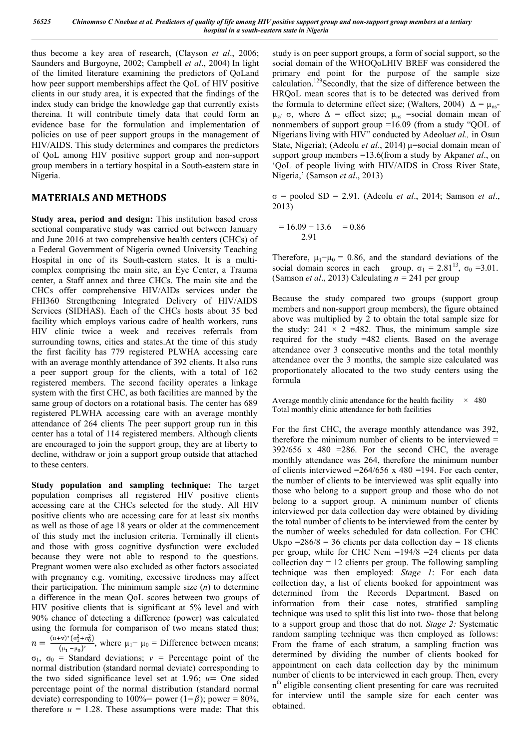thus become a key area of research, (Clayson *et al*., 2006; Saunders and Burgoyne, 2002; Campbell *et al*., 2004) In light of the limited literature examining the predictors of QoLand how peer support memberships affect the QoL of HIV positive clients in our study area, it is expected that the findings of the index study can bridge the knowledge gap that currently exists thereina. It will contribute timely data that could form an evidence base for the formulation and implementation of policies on use of peer support groups in the management of HIV/AIDS. This study determines and compares the predictors of QoL among HIV positive support group and non-support group members in a tertiary hospital in a South-eastern state in Nigeria.

## **MATERIALS AND METHODS**

**Study area, period and design:** This institution based cross sectional comparative study was carried out between January and June 2016 at two comprehensive health centers (CHCs) of a Federal Government of Nigeria owned University Teaching Hospital in one of its South-eastern states. It is a multicomplex comprising the main site, an Eye Center, a Trauma center, a Staff annex and three CHCs. The main site and the CHCs offer comprehensive HIV/AIDs services under the FHI360 Strengthening Integrated Delivery of HIV/AIDS Services (SIDHAS). Each of the CHCs hosts about 35 bed facility which employs various cadre of health workers, runs HIV clinic twice a week and receives referrals from surrounding towns, cities and states.At the time of this study the first facility has 779 registered PLWHA accessing care with an average monthly attendance of 392 clients. It also runs a peer support group for the clients, with a total of 162 registered members. The second facility operates a linkage system with the first CHC, as both facilities are manned by the same group of doctors on a rotational basis. The center has 689 registered PLWHA accessing care with an average monthly attendance of 264 clients The peer support group run in this center has a total of 114 registered members. Although clients are encouraged to join the support group, they are at liberty to decline, withdraw or join a support group outside that attached to these centers.

**Study population and sampling technique:** The target population comprises all registered HIV positive clients accessing care at the CHCs selected for the study. All HIV positive clients who are accessing care for at least six months as well as those of age 18 years or older at the commencement of this study met the inclusion criteria. Terminally ill clients and those with gross cognitive dysfunction were excluded because they were not able to respond to the questions. Pregnant women were also excluded as other factors associated with pregnancy e.g. vomiting, excessive tiredness may affect their participation. The minimum sample size (*n*) to determine a difference in the mean QoL scores between two groups of HIV positive clients that is significant at 5% level and with 90% chance of detecting a difference (power) was calculated using the formula for comparison of two means stated thus;  $n = \frac{(u+v)^2 (\sigma_1^2 + \sigma_0^2)}{(\mu_1 - \mu_0)^2}$ , where  $\mu_1 - \mu_0$  = Difference between means;  $\sigma_1$ ,  $\sigma_0$  = Standard deviations;  $v$  = Percentage point of the normal distribution (standard normal deviate) corresponding to the two sided significance level set at 1.96;  $u=$  One sided percentage point of the normal distribution (standard normal

deviate) corresponding to 100%− power (1− $\beta$ ); power = 80%, therefore  $u = 1.28$ . These assumptions were made: That this study is on peer support groups, a form of social support, so the social domain of the WHOQoLHIV BREF was considered the primary end point for the purpose of the sample size calculation.129Secondly, that the size of difference between the HRQoL mean scores that is to be detected was derived from the formula to determine effect size; (Walters, 2004)  $\Delta = \mu_{ns}$ - $\mu_{z}$  σ, where  $\Delta$  = effect size;  $\mu_{ns}$  =social domain mean of nonmembers of support group =16.09 (from a study "QOL of Nigerians living with HIV" conducted by Adeolu*et al.,* in Osun State, Nigeria); (Adeolu *et al.*, 2014) µ=social domain mean of support group members =13.6(from a study by Akpan*et al*., on 'QoL of people living with HIV/AIDS in Cross River State, Nigeria,' (Samson *et al*., 2013)

σ = pooled SD = 2.91. (Adeolu *et al*., 2014; Samson *et al*., 2013)

$$
= 16.09 - 13.6 = 0.86
$$
  
2.91

Therefore,  $\mu_1-\mu_0 = 0.86$ , and the standard deviations of the social domain scores in each group.  $\sigma_1 = 2.81^{13}$ ,  $\sigma_0 = 3.01$ . (Samson *et al.*, 2013) Calculating  $n = 241$  per group

Because the study compared two groups (support group members and non-support group members), the figure obtained above was multiplied by 2 to obtain the total sample size for the study:  $241 \times 2 = 482$ . Thus, the minimum sample size required for the study =482 clients. Based on the average attendance over 3 consecutive months and the total monthly attendance over the 3 months, the sample size calculated was proportionately allocated to the two study centers using the formula

Average monthly clinic attendance for the health facility  $\times$  480 Total monthly clinic attendance for both facilities

For the first CHC, the average monthly attendance was 392, therefore the minimum number of clients to be interviewed =  $392/656$  x 480 = 286. For the second CHC, the average monthly attendance was 264, therefore the minimum number of clients interviewed  $=264/656$  x 480 =194. For each center, the number of clients to be interviewed was split equally into those who belong to a support group and those who do not belong to a support group. A minimum number of clients interviewed per data collection day were obtained by dividing the total number of clients to be interviewed from the center by the number of weeks scheduled for data collection. For CHC Ukpo  $=286/8 = 36$  clients per data collection day  $= 18$  clients per group, while for CHC Neni =194/8 =24 clients per data collection day  $= 12$  clients per group. The following sampling technique was then employed: *Stage 1*: For each data collection day, a list of clients booked for appointment was determined from the Records Department. Based on information from their case notes, stratified sampling technique was used to split this list into two- those that belong to a support group and those that do not. *Stage 2:* Systematic random sampling technique was then employed as follows: From the frame of each stratum, a sampling fraction was determined by dividing the number of clients booked for appointment on each data collection day by the minimum number of clients to be interviewed in each group. Then, every n<sup>th</sup> eligible consenting client presenting for care was recruited for interview until the sample size for each center was obtained.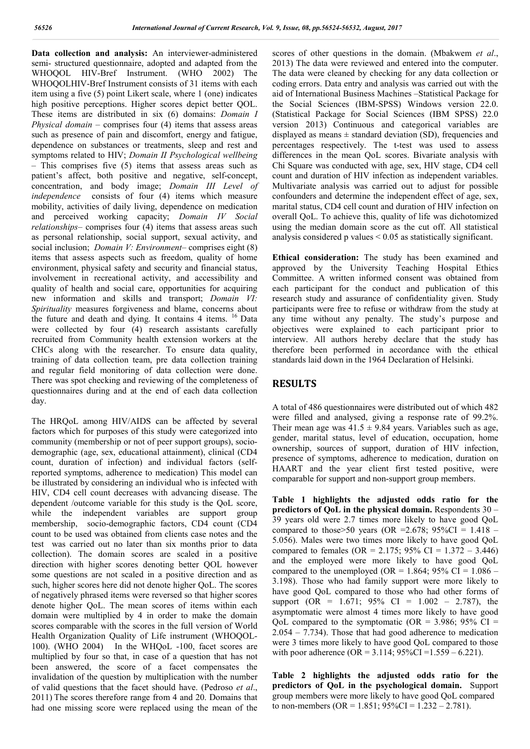**Data collection and analysis:** An interviewer-administered semi- structured questionnaire, adopted and adapted from the WHOQOL HIV-Bref Instrument. (WHO 2002) The WHOQOLHIV-Bref Instrument consists of 31 items with each item using a five (5) point Likert scale, where 1 (one) indicates high positive perceptions. Higher scores depict better QOL. These items are distributed in six (6) domains: *Domain I Physical domain* – comprises four (4) items that assess areas such as presence of pain and discomfort, energy and fatigue, dependence on substances or treatments, sleep and rest and symptoms related to HIV; *Domain II Psychological wellbeing* – This comprises five (5) items that assess areas such as patient's affect, both positive and negative, self-concept, concentration, and body image; *Domain III Level of independence* consists of four (4) items which measure mobility, activities of daily living, dependence on medication and perceived working capacity; *Domain IV Social relationships*– comprises four (4) items that assess areas such as personal relationship, social support, sexual activity, and social inclusion; *Domain V: Environment*– comprises eight (8) items that assess aspects such as freedom, quality of home environment, physical safety and security and financial status, involvement in recreational activity, and accessibility and quality of health and social care, opportunities for acquiring new information and skills and transport; *Domain VI: Spirituality* measures forgiveness and blame, concerns about the future and death and dying. It contains 4 items. <sup>16</sup> Data were collected by four (4) research assistants carefully recruited from Community health extension workers at the CHCs along with the researcher. To ensure data quality, training of data collection team, pre data collection training and regular field monitoring of data collection were done. There was spot checking and reviewing of the completeness of questionnaires during and at the end of each data collection day.

The HRQoL among HIV/AIDS can be affected by several factors which for purposes of this study were categorized into community (membership or not of peer support groups), sociodemographic (age, sex, educational attainment), clinical (CD4 count, duration of infection) and individual factors (selfreported symptoms, adherence to medication) This model can be illustrated by considering an individual who is infected with HIV, CD4 cell count decreases with advancing disease. The dependent /outcome variable for this study is the QoL score, while the independent variables are support group membership, socio-demographic factors, CD4 count (CD4 count to be used was obtained from clients case notes and the test was carried out no later than six months prior to data collection). The domain scores are scaled in a positive direction with higher scores denoting better QOL however some questions are not scaled in a positive direction and as such, higher scores here did not denote higher QoL. The scores of negatively phrased items were reversed so that higher scores denote higher QoL. The mean scores of items within each domain were multiplied by 4 in order to make the domain scores comparable with the scores in the full version of World Health Organization Quality of Life instrument (WHOQOL-100). (WHO 2004) In the WHQoL -100, facet scores are multiplied by four so that, in case of a question that has not been answered, the score of a facet compensates the invalidation of the question by multiplication with the number of valid questions that the facet should have. (Pedroso *et al*., 2011) The scores therefore range from 4 and 20. Domains that had one missing score were replaced using the mean of the

scores of other questions in the domain. (Mbakwem *et al*., 2013) The data were reviewed and entered into the computer. The data were cleaned by checking for any data collection or coding errors. Data entry and analysis was carried out with the aid of International Business Machines –Statistical Package for the Social Sciences (IBM-SPSS) Windows version 22.0. (Statistical Package for Social Sciences (IBM SPSS) 22.0 version 2013) Continuous and categorical variables are displayed as means  $\pm$  standard deviation (SD), frequencies and percentages respectively. The t-test was used to assess differences in the mean QoL scores. Bivariate analysis with Chi Square was conducted with age, sex, HIV stage, CD4 cell count and duration of HIV infection as independent variables. Multivariate analysis was carried out to adjust for possible confounders and determine the independent effect of age, sex, marital status, CD4 cell count and duration of HIV infection on overall QoL. To achieve this, quality of life was dichotomized using the median domain score as the cut off. All statistical analysis considered p values < 0.05 as statistically significant.

**Ethical consideration:** The study has been examined and approved by the University Teaching Hospital Ethics Committee. A written informed consent was obtained from each participant for the conduct and publication of this research study and assurance of confidentiality given. Study participants were free to refuse or withdraw from the study at any time without any penalty. The study's purpose and objectives were explained to each participant prior to interview. All authors hereby declare that the study has therefore been performed in accordance with the ethical standards laid down in the 1964 Declaration of Helsinki.

## **RESULTS**

A total of 486 questionnaires were distributed out of which 482 were filled and analysed, giving a response rate of 99.2%. Their mean age was  $41.5 \pm 9.84$  years. Variables such as age, gender, marital status, level of education, occupation, home ownership, sources of support, duration of HIV infection, presence of symptoms, adherence to medication, duration on HAART and the year client first tested positive, were comparable for support and non-support group members.

**Table 1 highlights the adjusted odds ratio for the predictors of QoL in the physical domain.** Respondents 30 – 39 years old were 2.7 times more likely to have good QoL compared to those > 50 years (OR = 2.678; 95%CI = 1.418 – 5.056). Males were two times more likely to have good QoL compared to females (OR = 2.175; 95% CI =  $1.372 - 3.446$ ) and the employed were more likely to have good QoL compared to the unemployed (OR =  $1.864$ ; 95% CI =  $1.086$  – 3.198). Those who had family support were more likely to have good QoL compared to those who had other forms of support (OR =  $1.671$ ; 95% CI =  $1.002$  – 2.787), the asymptomatic were almost 4 times more likely to have good OoL compared to the symptomatic (OR =  $3.986$ ; 95% CI = 2.054 – 7.734). Those that had good adherence to medication were 3 times more likely to have good QoL compared to those with poor adherence (OR =  $3.114$ ; 95%CI =  $1.559 - 6.221$ ).

**Table 2 highlights the adjusted odds ratio for the predictors of QoL in the psychological domain.** Support group members were more likely to have good QoL compared to non-members (OR = 1.851;  $95\%$ CI = 1.232 – 2.781).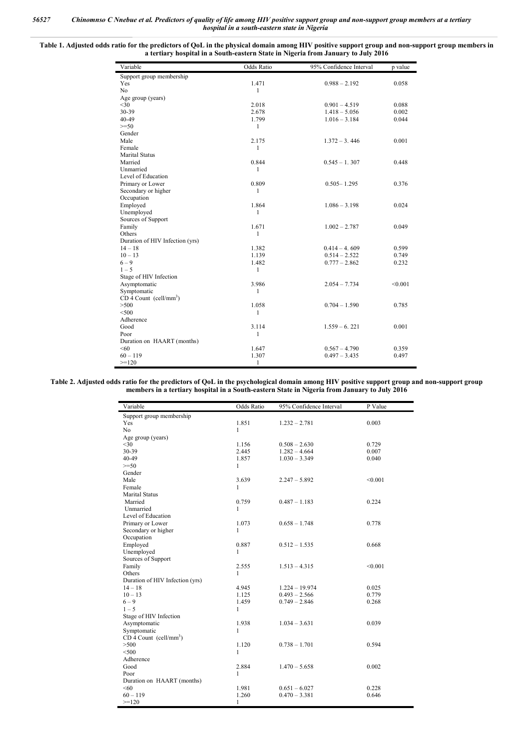**Table 1. Adjusted odds ratio for the predictors of QoL in the physical domain among HIV positive support group and non-support group members in a tertiary hospital in a South-eastern State in Nigeria from January to July 2016**

| Support group membership<br>Yes      |              |                 | p value |
|--------------------------------------|--------------|-----------------|---------|
|                                      |              |                 |         |
|                                      | 1.471        | $0.988 - 2.192$ | 0.058   |
| No                                   | $\mathbf{1}$ |                 |         |
| Age group (years)                    |              |                 |         |
| $<$ 30                               | 2.018        | $0.901 - 4.519$ | 0.088   |
| 30-39                                | 2.678        | $1.418 - 5.056$ | 0.002   |
| $40 - 49$                            | 1.799        | $1.016 - 3.184$ | 0.044   |
| $>=50$                               | 1            |                 |         |
| Gender                               |              |                 |         |
| Male                                 | 2.175        | $1.372 - 3.446$ | 0.001   |
| Female                               | $\mathbf{1}$ |                 |         |
| <b>Marital Status</b>                |              |                 |         |
| Married                              | 0.844        | $0.545 - 1.307$ | 0.448   |
| Unmarried                            | 1            |                 |         |
| Level of Education                   |              |                 |         |
| Primary or Lower                     | 0.809        | $0.505 - 1.295$ | 0.376   |
| Secondary or higher                  | 1            |                 |         |
| Occupation                           |              |                 |         |
| Employed                             | 1.864        | $1.086 - 3.198$ | 0.024   |
| Unemployed                           | 1            |                 |         |
| Sources of Support                   |              |                 |         |
| Family                               | 1.671        | $1.002 - 2.787$ | 0.049   |
| Others                               | $\mathbf{1}$ |                 |         |
| Duration of HIV Infection (yrs)      |              |                 |         |
| $14 - 18$                            | 1.382        | $0.414 - 4.609$ | 0.599   |
| $10 - 13$                            | 1.139        | $0.514 - 2.522$ | 0.749   |
| $6 - 9$                              | 1.482        | $0.777 - 2.862$ | 0.232   |
| $1 - 5$                              | 1            |                 |         |
| Stage of HIV Infection               |              |                 |         |
| Asymptomatic                         | 3.986        | $2.054 - 7.734$ | < 0.001 |
| Symptomatic                          | $\mathbf{1}$ |                 |         |
| $CD$ 4 Count (cell/mm <sup>3</sup> ) |              |                 |         |
| >500                                 | 1.058        | $0.704 - 1.590$ | 0.785   |
| < 500                                | $\mathbf{1}$ |                 |         |
| Adherence                            |              |                 |         |
| Good                                 | 3.114        | $1.559 - 6.221$ | 0.001   |
| Poor                                 | $\mathbf{1}$ |                 |         |
| Duration on HAART (months)           |              |                 |         |
| <60                                  | 1.647        | $0.567 - 4.790$ | 0.359   |
| $60 - 119$                           | 1.307        | $0.497 - 3.435$ | 0.497   |
| $>=120$                              | 1            |                 |         |

**Table 2. Adjusted odds ratio for the predictors of QoL in the psychological domain among HIV positive support group and non-support group members in a tertiary hospital in a South-eastern State in Nigeria from January to July 2016**

| Variable                             | Odds Ratio   | 95% Confidence Interval | P Value |
|--------------------------------------|--------------|-------------------------|---------|
| Support group membership             |              |                         |         |
| Yes                                  | 1.851        | $1.232 - 2.781$         | 0.003   |
| N <sub>o</sub>                       | $\mathbf{1}$ |                         |         |
| Age group (years)                    |              |                         |         |
| $30$                                 | 1.156        | $0.508 - 2.630$         | 0.729   |
| 30-39                                | 2.445        | $1.282 - 4.664$         | 0.007   |
| 40-49                                | 1.857        | $1.030 - 3.349$         | 0.040   |
| $>=50$                               | $\mathbf{1}$ |                         |         |
| Gender                               |              |                         |         |
| Male                                 | 3.639        | $2.247 - 5.892$         | < 0.001 |
| Female                               | $\mathbf{1}$ |                         |         |
| <b>Marital Status</b>                |              |                         |         |
| Married                              | 0.759        | $0.487 - 1.183$         | 0.224   |
| Unmarried                            | 1            |                         |         |
| Level of Education                   |              |                         |         |
| Primary or Lower                     | 1.073        | $0.658 - 1.748$         | 0.778   |
| Secondary or higher                  | $\mathbf{1}$ |                         |         |
| Occupation                           |              |                         |         |
| Employed                             | 0.887        | $0.512 - 1.535$         | 0.668   |
| Unemployed                           | 1            |                         |         |
| Sources of Support                   |              |                         |         |
| Family                               | 2.555        | $1.513 - 4.315$         | < 0.001 |
| Others                               | $\mathbf{1}$ |                         |         |
| Duration of HIV Infection (yrs)      |              |                         |         |
| $14 - 18$                            | 4.945        | $1.224 - 19.974$        | 0.025   |
| $10 - 13$                            | 1.125        | $0.493 - 2.566$         | 0.779   |
| $6 - 9$                              | 1.459        | $0.749 - 2.846$         | 0.268   |
| $1 - 5$                              | $\mathbf{1}$ |                         |         |
| Stage of HIV Infection               |              |                         |         |
| Asymptomatic                         | 1.938        | $1.034 - 3.631$         | 0.039   |
| Symptomatic                          | $\mathbf{1}$ |                         |         |
| $CD$ 4 Count (cell/mm <sup>3</sup> ) |              |                         |         |
| >500                                 | 1.120        | $0.738 - 1.701$         | 0.594   |
| < 500                                | 1            |                         |         |
| Adherence                            |              |                         |         |
| Good                                 | 2.884        | $1.470 - 5.658$         | 0.002   |
| Poor                                 | $\mathbf{1}$ |                         |         |
| Duration on HAART (months)           |              |                         |         |
| < 60                                 | 1.981        | $0.651 - 6.027$         | 0.228   |
| $60 - 119$                           | 1.260        | $0.470 - 3.381$         | 0.646   |
| $>=120$                              | 1            |                         |         |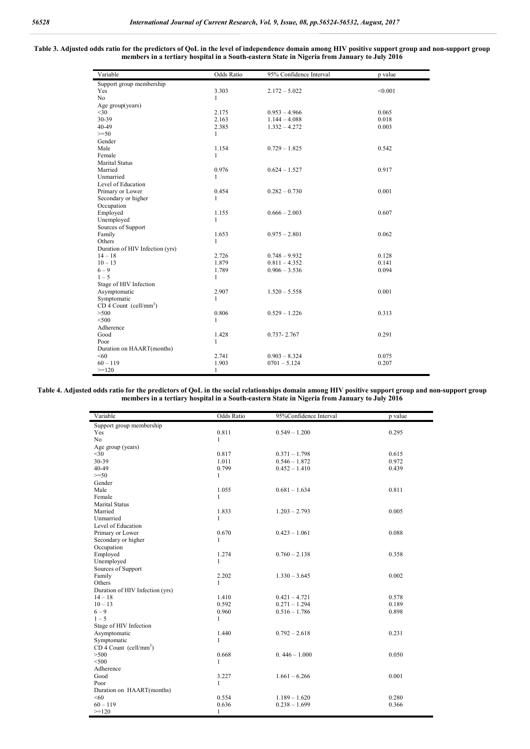#### **Table 3. Adjusted odds ratio for the predictors of QoL in the level of independence domain among HIV positive support group and non-support group members in a tertiary hospital in a South-eastern State in Nigeria from January to July 2016**

| Variable                             | Odds Ratio   | 95% Confidence Interval | p value |
|--------------------------------------|--------------|-------------------------|---------|
| Support group membership             |              |                         |         |
| Yes                                  | 3.303        | $2.172 - 5.022$         | < 0.001 |
| N <sub>o</sub>                       | $\mathbf{1}$ |                         |         |
| Age group(years)                     |              |                         |         |
| $30$                                 | 2.175        | $0.953 - 4.966$         | 0.065   |
| 30-39                                | 2.163        | $1.144 - 4.088$         | 0.018   |
| 40-49                                | 2.385        | $1.332 - 4.272$         | 0.003   |
| $>=50$                               | 1            |                         |         |
| Gender                               |              |                         |         |
| Male                                 | 1.154        | $0.729 - 1.825$         | 0.542   |
| Female                               | $\mathbf{1}$ |                         |         |
| <b>Marital Status</b>                |              |                         |         |
| Married                              | 0.976        | $0.624 - 1.527$         | 0.917   |
| Unmarried                            | 1            |                         |         |
| Level of Education                   |              |                         |         |
| Primary or Lower                     | 0.454        | $0.282 - 0.730$         | 0.001   |
| Secondary or higher                  | $\mathbf{1}$ |                         |         |
| Occupation                           |              |                         |         |
| Employed                             | 1.155        | $0.666 - 2.003$         | 0.607   |
| Unemployed                           | $\mathbf{1}$ |                         |         |
| Sources of Support                   |              |                         |         |
| Family                               | 1.653        | $0.975 - 2.801$         | 0.062   |
| Others                               | $\mathbf{1}$ |                         |         |
| Duration of HIV Infection (yrs)      |              |                         |         |
| $14 - 18$                            | 2.726        | $0.748 - 9.932$         | 0.128   |
| $10 - 13$                            | 1.879        | $0.811 - 4.352$         | 0.141   |
| $6 - 9$                              | 1.789        | $0.906 - 3.536$         | 0.094   |
| $1 - 5$                              | $\mathbf{1}$ |                         |         |
| Stage of HIV Infection               |              |                         |         |
| Asymptomatic                         | 2.907        | $1.520 - 5.558$         | 0.001   |
| Symptomatic                          | $\mathbf{1}$ |                         |         |
| $CD$ 4 Count (cell/mm <sup>3</sup> ) |              |                         |         |
| >500                                 | 0.806        | $0.529 - 1.226$         | 0.313   |
| < 500                                | $\mathbf{1}$ |                         |         |
| Adherence                            |              |                         |         |
| Good                                 | 1.428        | $0.737 - 2.767$         | 0.291   |
| Poor                                 | $\mathbf{1}$ |                         |         |
| Duration on HAART(months)            |              |                         |         |
| <60                                  | 2.741        | $0.903 - 8.324$         | 0.075   |
| $60 - 119$                           | 1.903        | $0701 - 5.124$          | 0.207   |
| $>=120$                              | $\mathbf{1}$ |                         |         |

**Table 4. Adjusted odds ratio for the predictors of QoL in the social relationships domain among HIV positive support group and non-support group members in a tertiary hospital in a South-eastern State in Nigeria from January to July 2016**

| Variable                             | <b>Odds Ratio</b> | 95%Confidence Interval | p value |
|--------------------------------------|-------------------|------------------------|---------|
| Support group membership             |                   |                        |         |
| Yes                                  | 0.811             | $0.549 - 1.200$        | 0.295   |
| N <sub>o</sub>                       | 1                 |                        |         |
| Age group (years)                    |                   |                        |         |
| $<$ 30                               | 0.817             | $0.371 - 1.798$        | 0.615   |
| 30-39                                | 1.011             | $0.546 - 1.872$        | 0.972   |
| $40 - 49$                            | 0.799             | $0.452 - 1.410$        | 0.439   |
| $>=50$                               | 1                 |                        |         |
| Gender                               |                   |                        |         |
| Male                                 | 1.055             | $0.681 - 1.634$        | 0.811   |
| Female                               | $\mathbf{1}$      |                        |         |
| <b>Marital Status</b>                |                   |                        |         |
| Married                              | 1.833             | $1.203 - 2.793$        | 0.005   |
| Unmarried                            | 1                 |                        |         |
| Level of Education                   |                   |                        |         |
| Primary or Lower                     | 0.670             | $0.423 - 1.061$        | 0.088   |
| Secondary or higher                  | $\mathbf{1}$      |                        |         |
| Occupation                           |                   |                        |         |
| Employed                             | 1.274             | $0.760 - 2.138$        | 0.358   |
| Unemployed                           | 1                 |                        |         |
| Sources of Support                   |                   |                        |         |
| Family                               | 2.202             | $1.330 - 3.645$        | 0.002   |
| Others                               | $\mathbf{1}$      |                        |         |
| Duration of HIV Infection (yrs)      |                   |                        |         |
| $14 - 18$                            | 1.410             | $0.421 - 4.721$        | 0.578   |
| $10 - 13$                            | 0.592             | $0.271 - 1.294$        | 0.189   |
| $6 - 9$                              | 0.960             | $0.516 - 1.786$        | 0.898   |
| $1 - 5$                              | 1                 |                        |         |
| Stage of HIV Infection               |                   |                        |         |
| Asymptomatic                         | 1.440             | $0.792 - 2.618$        | 0.231   |
| Symptomatic                          | 1                 |                        |         |
| $CD$ 4 Count (cell/mm <sup>3</sup> ) |                   |                        |         |
| >500                                 | 0.668             | $0.446 - 1.000$        | 0.050   |
| < 500                                | 1                 |                        |         |
| Adherence                            |                   |                        |         |
| Good                                 | 3.227             | $1.661 - 6.266$        | 0.001   |
| Poor                                 | 1                 |                        |         |
| Duration on HAART(months)            |                   |                        |         |
| < 60                                 | 0.554             | $1.189 - 1.620$        | 0.280   |
| $60 - 119$                           | 0.636             | $0.238 - 1.699$        | 0.366   |
| $>=120$                              | 1                 |                        |         |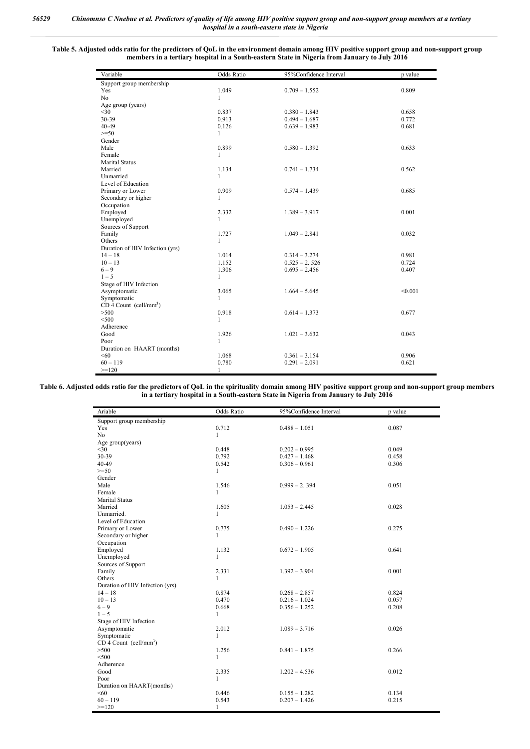#### **Table 5. Adjusted odds ratio for the predictors of QoL in the environment domain among HIV positive support group and non-support group members in a tertiary hospital in a South-eastern State in Nigeria from January to July 2016**

| Variable                             | <b>Odds Ratio</b> | 95%Confidence Interval | p value |
|--------------------------------------|-------------------|------------------------|---------|
| Support group membership             |                   |                        |         |
| Yes                                  | 1.049             | $0.709 - 1.552$        | 0.809   |
| N <sub>o</sub>                       | 1                 |                        |         |
| Age group (years)                    |                   |                        |         |
| $<$ 30                               | 0.837             | $0.380 - 1.843$        | 0.658   |
| 30-39                                | 0.913             | $0.494 - 1.687$        | 0.772   |
| 40-49                                | 0.126             | $0.639 - 1.983$        | 0.681   |
| $>=50$                               | $\mathbf{1}$      |                        |         |
| Gender                               |                   |                        |         |
| Male                                 | 0.899             | $0.580 - 1.392$        | 0.633   |
| Female                               | $\mathbf{1}$      |                        |         |
| <b>Marital Status</b>                |                   |                        |         |
| Married                              | 1.134             | $0.741 - 1.734$        | 0.562   |
| Unmarried                            | $\mathbf{1}$      |                        |         |
| Level of Education                   |                   |                        |         |
| Primary or Lower                     | 0.909             | $0.574 - 1.439$        | 0.685   |
| Secondary or higher                  | 1                 |                        |         |
| Occupation                           |                   |                        |         |
| Employed                             | 2.332             | $1.389 - 3.917$        | 0.001   |
| Unemployed                           | $\mathbf{1}$      |                        |         |
| Sources of Support                   |                   |                        |         |
| Family                               | 1.727             | $1.049 - 2.841$        | 0.032   |
| Others                               | $\mathbf{1}$      |                        |         |
| Duration of HIV Infection (yrs)      |                   |                        |         |
| $14 - 18$                            | 1.014             | $0.314 - 3.274$        | 0.981   |
| $10 - 13$                            | 1.152             | $0.525 - 2.526$        | 0.724   |
| $6 - 9$                              | 1.306             | $0.695 - 2.456$        | 0.407   |
| $1 - 5$                              | $\mathbf{1}$      |                        |         |
| Stage of HIV Infection               |                   |                        |         |
| Asymptomatic                         | 3.065             | $1.664 - 5.645$        | < 0.001 |
| Symptomatic                          | $\mathbf{1}$      |                        |         |
| $CD$ 4 Count (cell/mm <sup>3</sup> ) |                   |                        |         |
| >500                                 | 0.918             | $0.614 - 1.373$        | 0.677   |
| < 500                                | $\mathbf{1}$      |                        |         |
| Adherence                            |                   |                        |         |
| Good                                 | 1.926             | $1.021 - 3.632$        | 0.043   |
| Poor                                 | $\mathbf{1}$      |                        |         |
| Duration on HAART (months)           |                   |                        |         |
| < 60                                 | 1.068             | $0.361 - 3.154$        | 0.906   |
| $60 - 119$                           | 0.780             | $0.291 - 2.091$        | 0.621   |
| $>=120$                              | 1                 |                        |         |

**Table 6. Adjusted odds ratio for the predictors of QoL in the spirituality domain among HIV positive support group and non-support group members in a tertiary hospital in a South-eastern State in Nigeria from January to July 2016**

> j. j.

| Ariable                              | <b>Odds Ratio</b> | 95%Confidence Interval | p value |
|--------------------------------------|-------------------|------------------------|---------|
| Support group membership             |                   |                        |         |
| Yes                                  | 0.712             | $0.488 - 1.051$        | 0.087   |
| N <sub>o</sub>                       | $\mathbf{1}$      |                        |         |
| Age group(years)                     |                   |                        |         |
| $<$ 30                               | 0.448             | $0.202 - 0.995$        | 0.049   |
| 30-39                                | 0.792             | $0.427 - 1.468$        | 0.458   |
| 40-49                                | 0.542             | $0.306 - 0.961$        | 0.306   |
| $>=50$                               | $\mathbf{1}$      |                        |         |
| Gender                               |                   |                        |         |
| Male                                 | 1.546             | $0.999 - 2.394$        | 0.051   |
| Female                               | 1                 |                        |         |
| <b>Marital Status</b>                |                   |                        |         |
| Married                              | 1.605             | $1.053 - 2.445$        | 0.028   |
| Unmarried.                           | $\mathbf{1}$      |                        |         |
| Level of Education                   |                   |                        |         |
| Primary or Lower                     | 0.775             | $0.490 - 1.226$        | 0.275   |
| Secondary or higher                  | 1                 |                        |         |
| Occupation                           |                   |                        |         |
| Employed                             | 1.132             | $0.672 - 1.905$        | 0.641   |
| Unemployed                           | $\mathbf{1}$      |                        |         |
| Sources of Support                   |                   |                        |         |
| Family                               | 2.331             | $1.392 - 3.904$        | 0.001   |
| Others                               | $\mathbf{1}$      |                        |         |
| Duration of HIV Infection (yrs)      |                   |                        |         |
| $14 - 18$                            | 0.874             | $0.268 - 2.857$        | 0.824   |
| $10 - 13$                            | 0.470             | $0.216 - 1.024$        | 0.057   |
| $6 - 9$                              | 0.668             | $0.356 - 1.252$        | 0.208   |
| $1 - 5$                              | 1                 |                        |         |
| Stage of HIV Infection               |                   |                        |         |
| Asymptomatic                         | 2.012             | $1.089 - 3.716$        | 0.026   |
| Symptomatic                          | $\mathbf{1}$      |                        |         |
| $CD$ 4 Count (cell/mm <sup>3</sup> ) |                   |                        |         |
| >500                                 | 1.256             | $0.841 - 1.875$        | 0.266   |
| $<$ 500                              | 1                 |                        |         |
| Adherence                            |                   |                        |         |
| Good                                 | 2.335             | $1.202 - 4.536$        | 0.012   |
| Poor                                 | $\mathbf{1}$      |                        |         |
| Duration on HAART(months)            |                   |                        |         |
| <60                                  | 0.446             | $0.155 - 1.282$        | 0.134   |
| $60 - 119$                           | 0.543             | $0.207 - 1.426$        | 0.215   |
| $>=120$                              | 1                 |                        |         |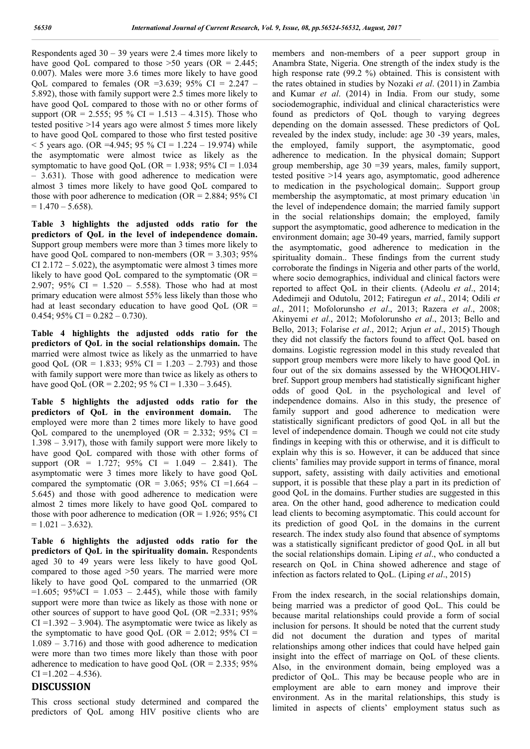Respondents aged  $30 - 39$  years were 2.4 times more likely to have good QoL compared to those  $>50$  years (OR = 2.445; 0.007). Males were more 3.6 times more likely to have good QoL compared to females (OR =3.639; 95% CI =  $2.247$  – 5.892), those with family support were 2.5 times more likely to have good QoL compared to those with no or other forms of support (OR = 2.555; 95 % CI = 1.513 – 4.315). Those who tested positive >14 years ago were almost 5 times more likely to have good QoL compared to those who first tested positive  $<$  5 years ago. (OR =4.945; 95 % CI = 1.224 – 19.974) while the asymptomatic were almost twice as likely as the symptomatic to have good QoL (OR = 1.938; 95% CI =  $1.034$ ) – 3.631). Those with good adherence to medication were almost 3 times more likely to have good QoL compared to those with poor adherence to medication ( $OR = 2.884$ ; 95% CI  $= 1.470 - 5.658$ ).

**Table 3 highlights the adjusted odds ratio for the predictors of QoL in the level of independence domain.**  Support group members were more than 3 times more likely to have good OoL compared to non-members  $(OR = 3.303; 95\%)$ CI 2.172 – 5.022), the asymptomatic were almost 3 times more likely to have good QoL compared to the symptomatic  $(OR =$ 2.907; 95% CI =  $1.520 - 5.558$ ). Those who had at most primary education were almost 55% less likely than those who had at least secondary education to have good QoL (OR = 0.454;  $95\%$  CI = 0.282 – 0.730).

**Table 4 highlights the adjusted odds ratio for the predictors of QoL in the social relationships domain.** The married were almost twice as likely as the unmarried to have good QoL (OR = 1.833; 95% CI = 1.203 – 2.793) and those with family support were more than twice as likely as others to have good QoL (OR = 2.202; 95 % CI = 1.330 – 3.645).

**Table 5 highlights the adjusted odds ratio for the predictors of QoL in the environment domain.** The employed were more than 2 times more likely to have good QoL compared to the unemployed (OR = 2.332; 95% CI = 1.398 – 3.917), those with family support were more likely to have good QoL compared with those with other forms of support (OR =  $1.727$ ; 95% CI =  $1.049 - 2.841$ ). The asymptomatic were 3 times more likely to have good QoL compared the symptomatic (OR =  $3.065$ ; 95% CI = 1.664 – 5.645) and those with good adherence to medication were almost 2 times more likely to have good QoL compared to those with poor adherence to medication (OR =  $1.926$ ; 95% CI  $= 1.021 - 3.632$ .

**Table 6 highlights the adjusted odds ratio for the predictors of QoL in the spirituality domain.** Respondents aged 30 to 49 years were less likely to have good QoL compared to those aged >50 years. The married were more likely to have good QoL compared to the unmarried (OR  $=1.605$ ; 95%CI = 1.053 – 2.445), while those with family support were more than twice as likely as those with none or other sources of support to have good QoL (OR =2.331; 95%  $CI = 1.392 - 3.904$ . The asymptomatic were twice as likely as the symptomatic to have good QoL (OR = 2.012; 95% CI = 1.089 – 3.716) and those with good adherence to medication were more than two times more likely than those with poor adherence to medication to have good QoL (OR =  $2.335$ ; 95%  $CI = 1.202 - 4.536$ .

## **DISCUSSION**

This cross sectional study determined and compared the predictors of QoL among HIV positive clients who are members and non-members of a peer support group in Anambra State, Nigeria. One strength of the index study is the high response rate (99.2 %) obtained. This is consistent with the rates obtained in studies by Nozaki *et al*. (2011) in Zambia and Kumar *et al*. (2014) in India. From our study, some sociodemographic, individual and clinical characteristics were found as predictors of QoL though to varying degrees depending on the domain assessed. These predictors of QoL revealed by the index study, include: age 30 -39 years, males, the employed, family support, the asymptomatic, good adherence to medication. In the physical domain; Support group membership, age 30 =39 years, males, family support, tested positive >14 years ago, asymptomatic, good adherence to medication in the psychological domain;. Support group membership the asymptomatic, at most primary education \in the level of independence domain; the married family support in the social relationships domain; the employed, family support the asymptomatic, good adherence to medication in the environment domain; age 30-49 years, married, family support the asymptomatic, good adherence to medication in the spirituality domain.. These findings from the current study corroborate the findings in Nigeria and other parts of the world, where socio demographics, individual and clinical factors were reported to affect QoL in their clients. (Adeolu *et al*., 2014; Adedimeji and Odutolu, 2012; Fatiregun *et al*., 2014; Odili *et al*., 2011; Mofolorunsho *et al*., 2013; Razera *et al*., 2008; Akinyemi *et al*., 2012; Mofolorunsho *et al*., 2013; Bello and Bello, 2013; Folarise *et al*., 2012; Arjun *et al*., 2015) Though they did not classify the factors found to affect QoL based on domains. Logistic regression model in this study revealed that support group members were more likely to have good QoL in four out of the six domains assessed by the WHOQOLHIVbref. Support group members had statistically significant higher odds of good QoL in the psychological and level of independence domains. Also in this study, the presence of family support and good adherence to medication were statistically significant predictors of good QoL in all but the level of independence domain. Though we could not cite study findings in keeping with this or otherwise, and it is difficult to explain why this is so. However, it can be adduced that since clients' families may provide support in terms of finance, moral support, safety, assisting with daily activities and emotional support, it is possible that these play a part in its prediction of good QoL in the domains. Further studies are suggested in this area. On the other hand, good adherence to medication could lead clients to becoming asymptomatic. This could account for its prediction of good QoL in the domains in the current research. The index study also found that absence of symptoms was a statistically significant predictor of good QoL in all but the social relationships domain. Liping *et al*., who conducted a research on QoL in China showed adherence and stage of infection as factors related to QoL. (Liping *et al*., 2015)

From the index research, in the social relationships domain, being married was a predictor of good QoL. This could be because marital relationships could provide a form of social inclusion for persons. It should be noted that the current study did not document the duration and types of marital relationships among other indices that could have helped gain insight into the effect of marriage on QoL of these clients. Also, in the environment domain, being employed was a predictor of QoL. This may be because people who are in employment are able to earn money and improve their environment. As in the marital relationships, this study is limited in aspects of clients' employment status such as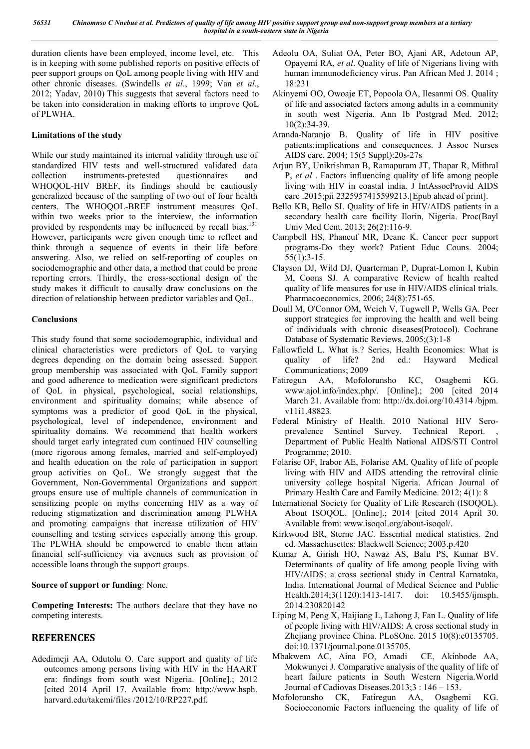duration clients have been employed, income level, etc. This is in keeping with some published reports on positive effects of peer support groups on QoL among people living with HIV and other chronic diseases. (Swindells *et al*., 1999; Van *et al*., 2012; Yadav, 2010) This suggests that several factors need to be taken into consideration in making efforts to improve QoL of PLWHA.

### **Limitations of the study**

While our study maintained its internal validity through use of standardized HIV tests and well-structured validated data collection instruments-pretested questionnaires and WHOQOL-HIV BREF, its findings should be cautiously generalized because of the sampling of two out of four health centers. The WHOQOL-BREF instrument measures QoL within two weeks prior to the interview, the information provided by respondents may be influenced by recall bias.<sup>131</sup> However, participants were given enough time to reflect and think through a sequence of events in their life before answering. Also, we relied on self-reporting of couples on sociodemographic and other data, a method that could be prone reporting errors. Thirdly, the cross-sectional design of the study makes it difficult to causally draw conclusions on the direction of relationship between predictor variables and QoL.

### **Conclusions**

This study found that some sociodemographic, individual and clinical characteristics were predictors of QoL to varying degrees depending on the domain being assessed. Support group membership was associated with QoL Family support and good adherence to medication were significant predictors of QoL in physical, psychological, social relationships, environment and spirituality domains; while absence of symptoms was a predictor of good QoL in the physical, psychological, level of independence, environment and spirituality domains. We recommend that health workers should target early integrated cum continued HIV counselling (more rigorous among females, married and self-employed) and health education on the role of participation in support group activities on QoL. We strongly suggest that the Government, Non-Governmental Organizations and support groups ensure use of multiple channels of communication in sensitizing people on myths concerning HIV as a way of reducing stigmatization and discrimination among PLWHA and promoting campaigns that increase utilization of HIV counselling and testing services especially among this group. The PLWHA should be empowered to enable them attain financial self-sufficiency via avenues such as provision of accessible loans through the support groups.

### **Source of support or funding**: None.

**Competing Interests:** The authors declare that they have no competing interests.

## **REFERENCES**

Adedimeji AA, Odutolu O. Care support and quality of life outcomes among persons living with HIV in the HAART era: findings from south west Nigeria. [Online].; 2012 [cited 2014 April 17. Available from: http://www.hsph. harvard.edu/takemi/files /2012/10/RP227.pdf.

- Adeolu OA, Suliat OA, Peter BO, Ajani AR, Adetoun AP, Opayemi RA, *et al*. Quality of life of Nigerians living with human immunodeficiency virus. Pan African Med J. 2014 ; 18:231
- Akinyemi OO, Owoaje ET, Popoola OA, Ilesanmi OS. Quality of life and associated factors among adults in a community in south west Nigeria. Ann Ib Postgrad Med. 2012; 10(2):34-39.
- Aranda-Naranjo B. Quality of life in HIV positive patients:implications and consequences. J Assoc Nurses AIDS care. 2004; 15(5 Suppl):20s-27s
- Arjun BY, Unikrishman B, Ramapuram JT, Thapar R, Mithral P, *et al* . Factors influencing quality of life among people living with HIV in coastal india. J IntAssocProvid AIDS care .2015;pii 2325957415599213.[Epub ahead of print].
- Bello KB, Bello SI. Quality of life in HIV/AIDS patients in a secondary health care facility Ilorin, Nigeria. Proc(Bayl Univ Med Cent. 2013; 26(2):116-9.
- Campbell HS, Phaneuf MR, Deane K. Cancer peer support programs-Do they work? Patient Educ Couns. 2004; 55(1):3-15.
- Clayson DJ, Wild DJ, Quarterman P, Duprat-Lomon I, Kubin M, Coons SJ. A comparative Review of health realted quality of life measures for use in HIV/AIDS clinical trials. Pharmacoeconomics. 2006; 24(8):751-65.
- Doull M, O'Connor OM, Weich V, Tugwell P, Wells GA. Peer support strategies for improving the health and well being of individuals with chronic diseases(Protocol). Cochrane Database of Systematic Reviews. 2005;(3):1-8
- Fallowfield L. What is.? Series, Health Economics: What is quality of life? 2nd ed.: Hayward Medical Communications; 2009
- Fatiregun AA, Mofolorunsho KC, Osagbemi KG. www.ajol.info/index.php/. [Online].; 200 [cited 2014 March 21. Available from: http://dx.doi.org/10.4314 /bjpm. v11i1.48823.
- Federal Ministry of Health. 2010 National HIV Seroprevalence Sentinel Survey. Technical Report. Department of Public Health National AIDS/STI Control Programme; 2010.
- Folarise OF, Irabor AE, Folarise AM. Quality of life of people living with HIV and AIDS attending the retroviral clinic university college hospital Nigeria. African Journal of Primary Health Care and Family Medicine. 2012; 4(1): 8
- International Society for Quality of Life Research (ISOQOL). About ISOQOL. [Online].; 2014 [cited 2014 April 30. Available from: www.isoqol.org/about-isoqol/.
- Kirkwood BR, Sterne JAC. Essential medical statistics. 2nd ed. Massachusettes: Blackwell Science; 2003.p.420
- Kumar A, Girish HO, Nawaz AS, Balu PS, Kumar BV. Determinants of quality of life among people living with HIV/AIDS: a cross sectional study in Central Karnataka, India. International Journal of Medical Science and Public Health.2014;3(1120):1413-1417. doi: 10.5455/ijmsph. 2014.230820142
- Liping M, Peng X, Haijiang L, Lahong J, Fan L. Quality of life of people living with HIV/AIDS: A cross sectional study in Zhejiang province China. PLoSOne. 2015 10(8):e0135705. doi:10.1371/journal.pone.0135705.
- Mbakwem AC, Aina FO, Amadi CE, Akinbode AA, Mokwunyei J. Comparative analysis of the quality of life of heart failure patients in South Western Nigeria.World Journal of Cadiovas Diseases.2013;3 : 146 – 153.
- Mofolorunsho CK, Fatiregun AA, Osagbemi KG. Socioeconomic Factors influencing the quality of life of